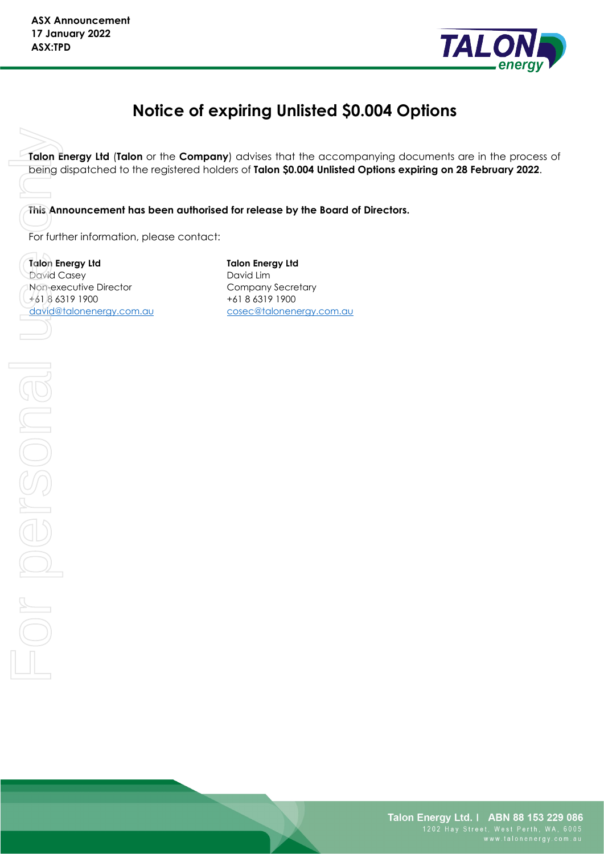

# **Notice of expiring Unlisted \$0.004 Options**

**Talon Energy Ltd** (**Talon** or the **Company**) advises that the accompanying documents are in the process of being dispatched to the registered holders of **Talon \$0.004 Unlisted Options expiring on 28 February 2022**.

**This Announcement has been authorised for release by the Board of Directors.**

For further information, please contact:

**Talon Energy Ltd** David Casey Non-executive Director +61 8 6319 1900 [david@talonenergy.com.au](mailto:david@talonenergy.com.au)  **Talon Energy Ltd** David Lim Company Secretary +61 8 6319 1900 [cosec@talonenergy.com.au](mailto:angela.east@mcpartners.com.au)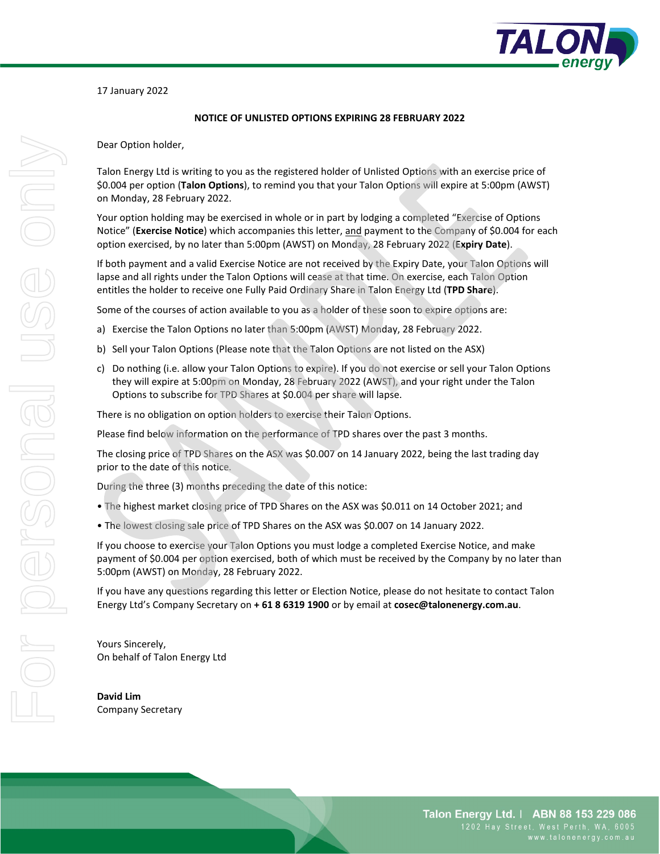

17 January 2022

#### **NOTICE OF UNLISTED OPTIONS EXPIRING 28 FEBRUARY 2022**

Dear Option holder,

Talon Energy Ltd is writing to you as the registered holder of Unlisted Options with an exercise price of \$0.004 per option (**Talon Options**), to remind you that your Talon Options will expire at 5:00pm (AWST) on Monday, 28 February 2022.

Your option holding may be exercised in whole or in part by lodging a completed "Exercise of Options Notice" (**Exercise Notice**) which accompanies this letter, and payment to the Company of \$0.004 for each option exercised, by no later than 5:00pm (AWST) on Monday, 28 February 2022 (**Expiry Date**).

If both payment and a valid Exercise Notice are not received by the Expiry Date, your Talon Options will lapse and all rights under the Talon Options will cease at that time. On exercise, each Talon Option entitles the holder to receive one Fully Paid Ordinary Share in Talon Energy Ltd (**TPD Share**).

Some of the courses of action available to you as a holder of these soon to expire options are:

- a) Exercise the Talon Options no later than 5:00pm (AWST) Monday, 28 February 2022.
- b) Sell your Talon Options (Please note that the Talon Options are not listed on the ASX)
- c) Do nothing (i.e. allow your Talon Options to expire). If you do not exercise or sell your Talon Options they will expire at 5:00pm on Monday, 28 February 2022 (AWST), and your right under the Talon Options to subscribe for TPD Shares at \$0.004 per share will lapse.

There is no obligation on option holders to exercise their Talon Options.

Please find below information on the performance of TPD shares over the past 3 months.

The closing price of TPD Shares on the ASX was \$0.007 on 14 January 2022, being the last trading day prior to the date of this notice.

During the three (3) months preceding the date of this notice:

- The highest market closing price of TPD Shares on the ASX was \$0.011 on 14 October 2021; and
- The lowest closing sale price of TPD Shares on the ASX was \$0.007 on 14 January 2022.

If you choose to exercise your Talon Options you must lodge a completed Exercise Notice, and make payment of \$0.004 per option exercised, both of which must be received by the Company by no later than 5:00pm (AWST) on Monday, 28 February 2022.

If you have any questions regarding this letter or Election Notice, please do not hesitate to contact Talon Energy Ltd's Company Secretary on **+ 61 8 6319 1900** or by email at **cosec@talonenergy.com.au**.

Yours Sincerely, On behalf of Talon Energy Ltd

**David Lim** Company Secretary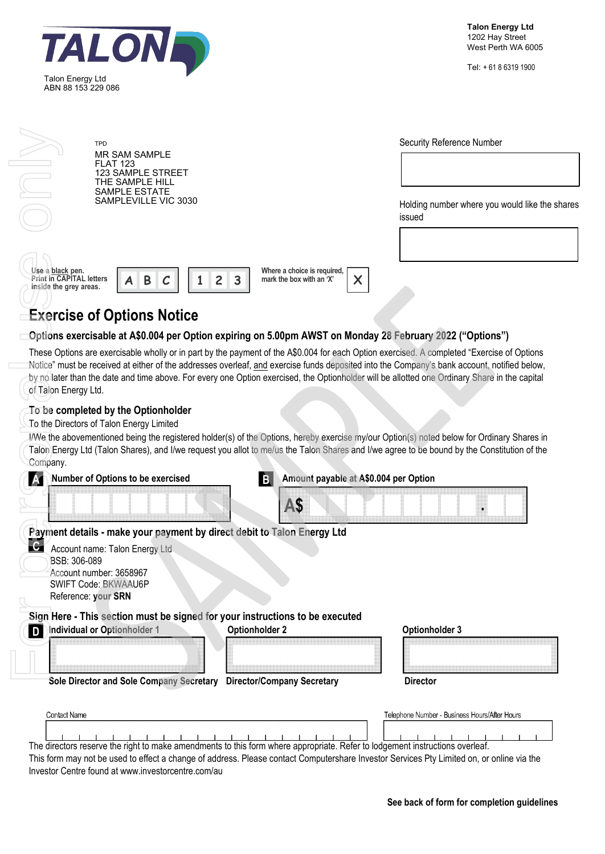| Talon Energy Ltd<br>ABN 88 153 229 086 |  |
|----------------------------------------|--|

Tel: + 61 8 6319 1900

|                                                                               | <b>TPD</b><br><b>MR SAM SAMPLE</b><br><b>FLAT 123</b><br><b>123 SAMPLE STREET</b><br>THE SAMPLE HILL                                                                                                                       |                                                                                                           | Security Reference Number                                                                                                                                                                                                                                                                    |
|-------------------------------------------------------------------------------|----------------------------------------------------------------------------------------------------------------------------------------------------------------------------------------------------------------------------|-----------------------------------------------------------------------------------------------------------|----------------------------------------------------------------------------------------------------------------------------------------------------------------------------------------------------------------------------------------------------------------------------------------------|
| SAMPLE ESTATE<br>SAMPLEVILLE VIC 3030                                         |                                                                                                                                                                                                                            | Holding number where you would like the shares<br>issued                                                  |                                                                                                                                                                                                                                                                                              |
| Use a black pen.<br><b>Print in CAPITAL letters</b><br>inside the grey areas. | Β                                                                                                                                                                                                                          | Where a choice is required,<br>$\overline{c}$<br>3<br>mark the box with an 'X'<br>X                       |                                                                                                                                                                                                                                                                                              |
|                                                                               | <b>Exercise of Options Notice</b>                                                                                                                                                                                          |                                                                                                           |                                                                                                                                                                                                                                                                                              |
|                                                                               |                                                                                                                                                                                                                            | Options exercisable at A\$0.004 per Option expiring on 5.00pm AWST on Monday 28 February 2022 ("Options") | These Options are exercisable wholly or in part by the payment of the A\$0.004 for each Option exercised. A completed "Exercise of Options                                                                                                                                                   |
| of Talon Energy Ltd.                                                          |                                                                                                                                                                                                                            |                                                                                                           | Notice" must be received at either of the addresses overleaf, and exercise funds deposited into the Company's bank account, notified below,<br>by no later than the date and time above. For every one Option exercised, the Optionholder will be allotted one Ordinary Share in the capital |
|                                                                               | To be completed by the Optionholder<br>To the Directors of Talon Energy Limited                                                                                                                                            |                                                                                                           | I/We the abovementioned being the registered holder(s) of the Options, hereby exercise my/our Option(s) noted below for Ordinary Shares in                                                                                                                                                   |
| Company.                                                                      | <b>Number of Options to be exercised</b>                                                                                                                                                                                   | B.<br>Amount payable at A\$0.004 per Option                                                               | Talon Energy Ltd (Talon Shares), and I/we request you allot to me/us the Talon Shares and I/we agree to be bound by the Constitution of the                                                                                                                                                  |
|                                                                               |                                                                                                                                                                                                                            | A\$                                                                                                       |                                                                                                                                                                                                                                                                                              |
| $\mathbf{c}$<br>BSB: 306-089<br>D                                             | Payment details - make your payment by direct debit to Talon Energy Ltd<br>Account name: Talon Energy Ltd<br>Account number: 3658967<br><b>SWIFT Code: BKWAAU6P</b><br>Reference: your SRN<br>Individual or Optionholder 1 | Sign Here - This section must be signed for your instructions to be executed<br><b>Optionholder 2</b>     | Optionholder 3                                                                                                                                                                                                                                                                               |

**Individual or Optionholder 1** Optionholder 2 Optionholder 3 Sole Director and Sole Company Secretary Director/Company Secretary **Director** Contact Name Telephone Number - Business Hours/After Hours  $-1 - 1 - 1$  $\blacksquare$ 

The directors reserve the right to make amendments to this form where appropriate. Refer to lodgement instructions overleaf.

This form may not be used to effect a change of address. Please contact Computershare Investor Services Pty Limited on, or online via the [Investor Centre found at www.investorcentre.com/au](http://www.investorcentre.com/au)